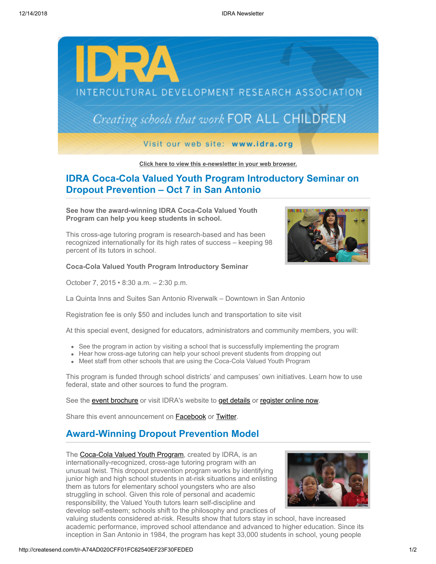

**[Click here to view this e-newsletter in your web browser.](http://newsletter.impulsedevelopment.com/t/r-e-fiyuykl-l-r/)**

# **IDRA Coca-Cola Valued Youth Program Introductory Seminar on Dropout Prevention – Oct 7 in San Antonio**

**See how the award-winning IDRA Coca-Cola Valued Youth Program can help you keep students in school.**

This cross-age tutoring program is research-based and has been recognized internationally for its high rates of success – keeping 98 percent of its tutors in school.

**Coca-Cola Valued Youth Program Introductory Seminar**

October 7, 2015 • 8:30 a.m. – 2:30 p.m.



La Quinta Inns and Suites San Antonio Riverwalk – Downtown in San Antonio

Registration fee is only \$50 and includes lunch and transportation to site visit

At this special event, designed for educators, administrators and community members, you will:

- See the program in action by visiting a school that is successfully implementing the program
- Hear how cross-age tutoring can help your school prevent students from dropping out
- Meet staff from other schools that are using the Coca-Cola Valued Youth Program

This program is funded through school districts' and campuses' own initiatives. Learn how to use federal, state and other sources to fund the program.

See the [event brochure](http://idra.createsend1.com/t/r-l-fiyuykl-l-i/) or visit IDRA's website to [get details](http://idra.createsend1.com/t/r-l-fiyuykl-l-d/) or [register online now.](http://idra.createsend1.com/t/r-l-fiyuykl-l-o/)

Share this event announcement on **Facebook** or **[Twitter](http://idra.createsend1.com/t/r-tw-fiyuykl-l-v/)**.

## **Award-Winning Dropout Prevention Model**

The [Coca-Cola Valued Youth Program](http://idra.createsend1.com/t/r-l-fiyuykl-l-b/), created by IDRA, is an internationally-recognized, cross-age tutoring program with an unusual twist. This dropout prevention program works by identifying junior high and high school students in at-risk situations and enlisting them as tutors for elementary school youngsters who are also struggling in school. Given this role of personal and academic responsibility, the Valued Youth tutors learn self-discipline and develop self-esteem; schools shift to the philosophy and practices of



valuing students considered at-risk. Results show that tutors stay in school, have increased academic performance, improved school attendance and advanced to higher education. Since its inception in San Antonio in 1984, the program has kept 33,000 students in school, young people